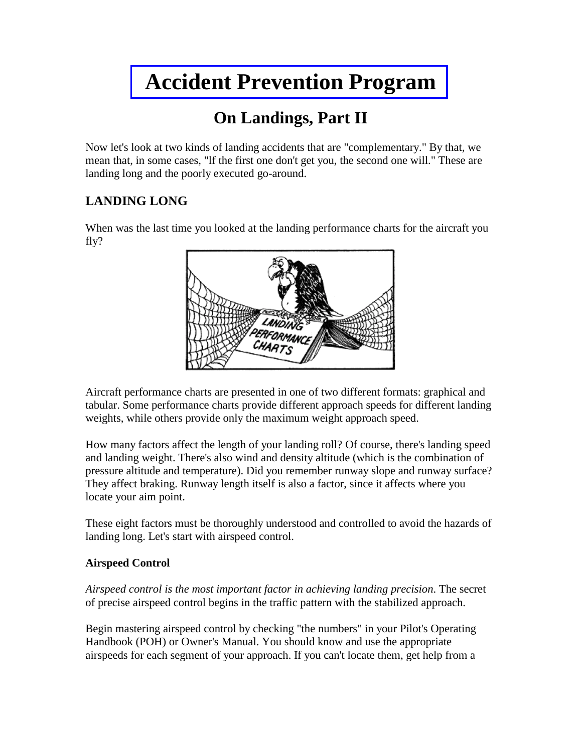# **[Accident Prevention Program](http://www.gofir.com/aviation_accident_prevention_program/)**

## **On Landings, Part II**

Now let's look at two kinds of landing accidents that are "complementary." By that, we mean that, in some cases, "lf the first one don't get you, the second one will." These are landing long and the poorly executed go-around.

### **LANDING LONG**

When was the last time you looked at the landing performance charts for the aircraft you fly?



Aircraft performance charts are presented in one of two different formats: graphical and tabular. Some performance charts provide different approach speeds for different landing weights, while others provide only the maximum weight approach speed.

How many factors affect the length of your landing roll? Of course, there's landing speed and landing weight. There's also wind and density altitude (which is the combination of pressure altitude and temperature). Did you remember runway slope and runway surface? They affect braking. Runway length itself is also a factor, since it affects where you locate your aim point.

These eight factors must be thoroughly understood and controlled to avoid the hazards of landing long. Let's start with airspeed control.

#### **Airspeed Control**

*Airspeed control is the most important factor in achieving landing precision*. The secret of precise airspeed control begins in the traffic pattern with the stabilized approach.

Begin mastering airspeed control by checking "the numbers" in your Pilot's Operating Handbook (POH) or Owner's Manual. You should know and use the appropriate airspeeds for each segment of your approach. If you can't locate them, get help from a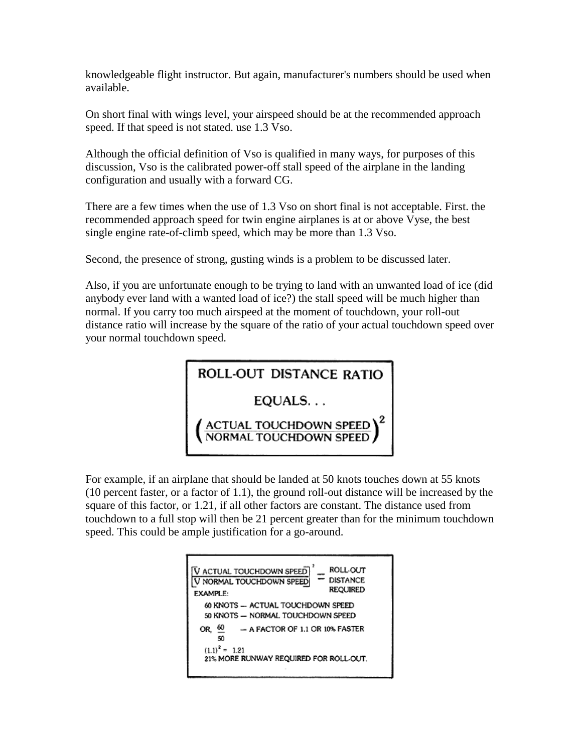knowledgeable flight instructor. But again, manufacturer's numbers should be used when available.

On short final with wings level, your airspeed should be at the recommended approach speed. If that speed is not stated. use 1.3 Vso.

Although the official definition of Vso is qualified in many ways, for purposes of this discussion, Vso is the calibrated power-off stall speed of the airplane in the landing configuration and usually with a forward CG.

There are a few times when the use of 1.3 Vso on short final is not acceptable. First. the recommended approach speed for twin engine airplanes is at or above Vyse, the best single engine rate-of-climb speed, which may be more than 1.3 Vso.

Second, the presence of strong, gusting winds is a problem to be discussed later.

Also, if you are unfortunate enough to be trying to land with an unwanted load of ice (did anybody ever land with a wanted load of ice?) the stall speed will be much higher than normal. If you carry too much airspeed at the moment of touchdown, your roll-out distance ratio will increase by the square of the ratio of your actual touchdown speed over your normal touchdown speed.

ROLL-OUT DISTANCE RATIO

EQUALS...

ACTUAL TOUCHDOWN SPEED

For example, if an airplane that should be landed at 50 knots touches down at 55 knots (10 percent faster, or a factor of 1.1), the ground roll-out distance will be increased by the square of this factor, or 1.21, if all other factors are constant. The distance used from touchdown to a full stop will then be 21 percent greater than for the minimum touchdown speed. This could be ample justification for a go-around.

**ROLL** OUT **V ACTUAL TOUCHDOWN SPEED**  $=$   $\frac{NOL(O)}{DISTANCE}$ V NORMAL TOUCHDOWN SPEED **REQUIRED EXAMPLE:** 60 KNOTS - ACTUAL TOUCHDOWN SPEED 50 KNOTS - NORMAL TOUCHDOWN SPEED OR,  $\underline{60}$  $-$  A FACTOR OF 1.1 OR 10% FASTER 50  $(1.1)^2 = 1.21$ 21% MORE RUNWAY REQUIRED FOR ROLL-OUT.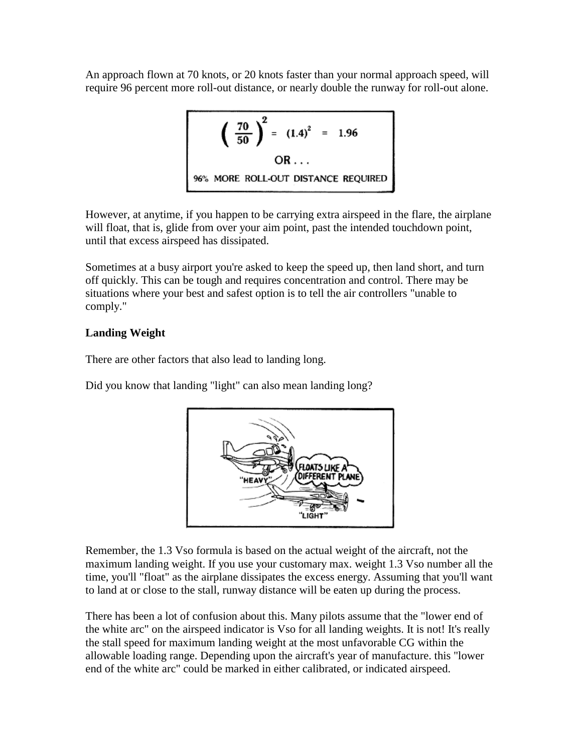An approach flown at 70 knots, or 20 knots faster than your normal approach speed, will require 96 percent more roll-out distance, or nearly double the runway for roll-out alone.

$$
\left(\frac{70}{50}\right)^2 = (1.4)^2 = 1.96
$$
  
OR...  
96% MORE ROLL-OUT DISTANCE REQUIRED

However, at anytime, if you happen to be carrying extra airspeed in the flare, the airplane will float, that is, glide from over your aim point, past the intended touchdown point, until that excess airspeed has dissipated.

Sometimes at a busy airport you're asked to keep the speed up, then land short, and turn off quickly. This can be tough and requires concentration and control. There may be situations where your best and safest option is to tell the air controllers "unable to comply."

#### **Landing Weight**

There are other factors that also lead to landing long.

Did you know that landing "light" can also mean landing long?



Remember, the 1.3 Vso formula is based on the actual weight of the aircraft, not the maximum landing weight. If you use your customary max. weight 1.3 Vso number all the time, you'll "float" as the airplane dissipates the excess energy. Assuming that you'll want to land at or close to the stall, runway distance will be eaten up during the process.

There has been a lot of confusion about this. Many pilots assume that the "lower end of the white arc" on the airspeed indicator is Vso for all landing weights. It is not! It's really the stall speed for maximum landing weight at the most unfavorable CG within the allowable loading range. Depending upon the aircraft's year of manufacture. this "lower end of the white arc" could be marked in either calibrated, or indicated airspeed.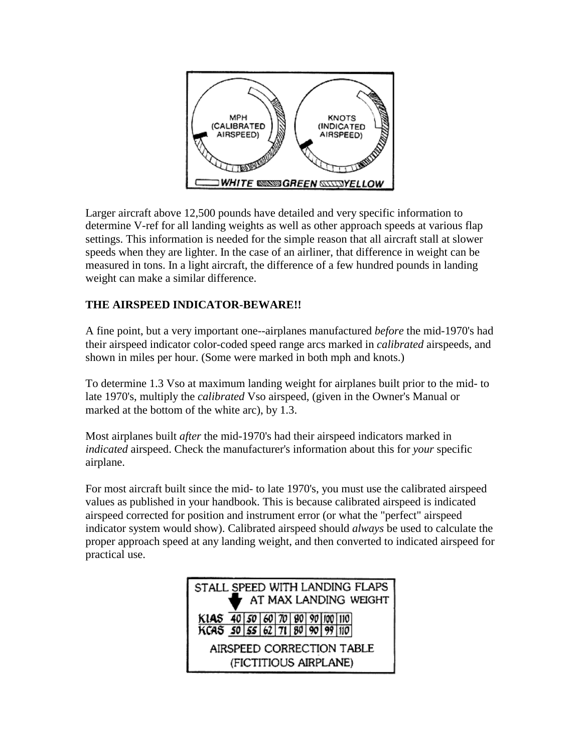

Larger aircraft above 12,500 pounds have detailed and very specific information to determine V-ref for all landing weights as well as other approach speeds at various flap settings. This information is needed for the simple reason that all aircraft stall at slower speeds when they are lighter. In the case of an airliner, that difference in weight can be measured in tons. In a light aircraft, the difference of a few hundred pounds in landing weight can make a similar difference.

#### **THE AIRSPEED INDICATOR-BEWARE!!**

A fine point, but a very important one--airplanes manufactured *before* the mid-1970's had their airspeed indicator color-coded speed range arcs marked in *calibrated* airspeeds, and shown in miles per hour. (Some were marked in both mph and knots.)

To determine 1.3 Vso at maximum landing weight for airplanes built prior to the mid- to late 1970's, multiply the *calibrated* Vso airspeed, (given in the Owner's Manual or marked at the bottom of the white arc), by 1.3.

Most airplanes built *after* the mid-1970's had their airspeed indicators marked in *indicated* airspeed. Check the manufacturer's information about this for *your* specific airplane.

For most aircraft built since the mid- to late 1970's, you must use the calibrated airspeed values as published in your handbook. This is because calibrated airspeed is indicated airspeed corrected for position and instrument error (or what the "perfect" airspeed indicator system would show). Calibrated airspeed should *always* be used to calculate the proper approach speed at any landing weight, and then converted to indicated airspeed for practical use.

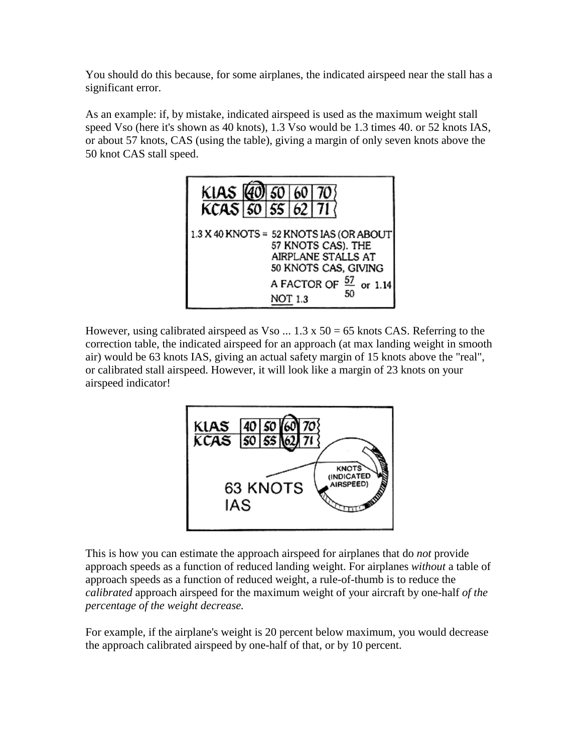You should do this because, for some airplanes, the indicated airspeed near the stall has a significant error.

As an example: if, by mistake, indicated airspeed is used as the maximum weight stall speed Vso (here it's shown as 40 knots), 1.3 Vso would be 1.3 times 40. or 52 knots IAS, or about 57 knots, CAS (using the table), giving a margin of only seven knots above the 50 knot CAS stall speed.



However, using calibrated airspeed as Vso  $\dots$  1.3 x 50 = 65 knots CAS. Referring to the correction table, the indicated airspeed for an approach (at max landing weight in smooth air) would be 63 knots IAS, giving an actual safety margin of 15 knots above the "real", or calibrated stall airspeed. However, it will look like a margin of 23 knots on your airspeed indicator!



This is how you can estimate the approach airspeed for airplanes that do *not* provide approach speeds as a function of reduced landing weight. For airplanes *without* a table of approach speeds as a function of reduced weight, a rule-of-thumb is to reduce the *calibrated* approach airspeed for the maximum weight of your aircraft by one-half *of the percentage of the weight decrease.*

For example, if the airplane's weight is 20 percent below maximum, you would decrease the approach calibrated airspeed by one-half of that, or by 10 percent.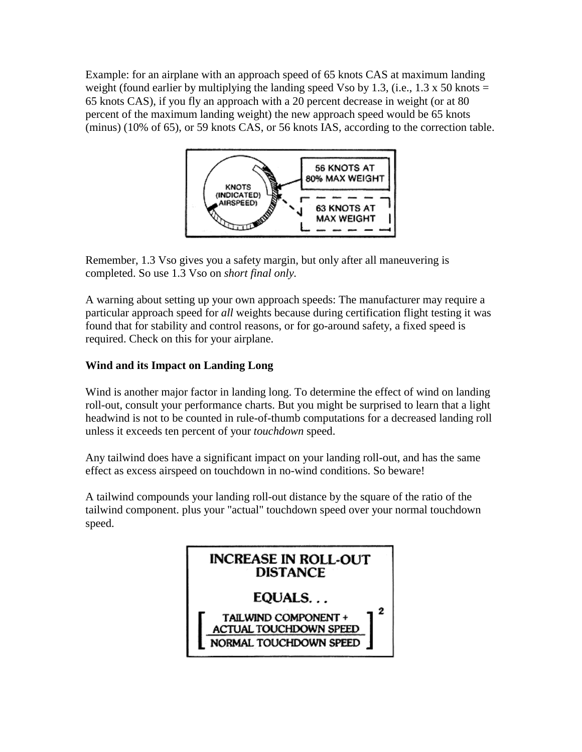Example: for an airplane with an approach speed of 65 knots CAS at maximum landing weight (found earlier by multiplying the landing speed Vso by 1.3, (i.e., 1.3 x 50 knots  $=$ 65 knots CAS), if you fly an approach with a 20 percent decrease in weight (or at 80 percent of the maximum landing weight) the new approach speed would be 65 knots (minus) (10% of 65), or 59 knots CAS, or 56 knots IAS, according to the correction table.



Remember, 1.3 Vso gives you a safety margin, but only after all maneuvering is completed. So use 1.3 Vso on *short final only.*

A warning about setting up your own approach speeds: The manufacturer may require a particular approach speed for *all* weights because during certification flight testing it was found that for stability and control reasons, or for go-around safety, a fixed speed is required. Check on this for your airplane.

#### **Wind and its Impact on Landing Long**

Wind is another major factor in landing long. To determine the effect of wind on landing roll-out, consult your performance charts. But you might be surprised to learn that a light headwind is not to be counted in rule-of-thumb computations for a decreased landing roll unless it exceeds ten percent of your *touchdown* speed.

Any tailwind does have a significant impact on your landing roll-out, and has the same effect as excess airspeed on touchdown in no-wind conditions. So beware!

A tailwind compounds your landing roll-out distance by the square of the ratio of the tailwind component. plus your "actual" touchdown speed over your normal touchdown speed.

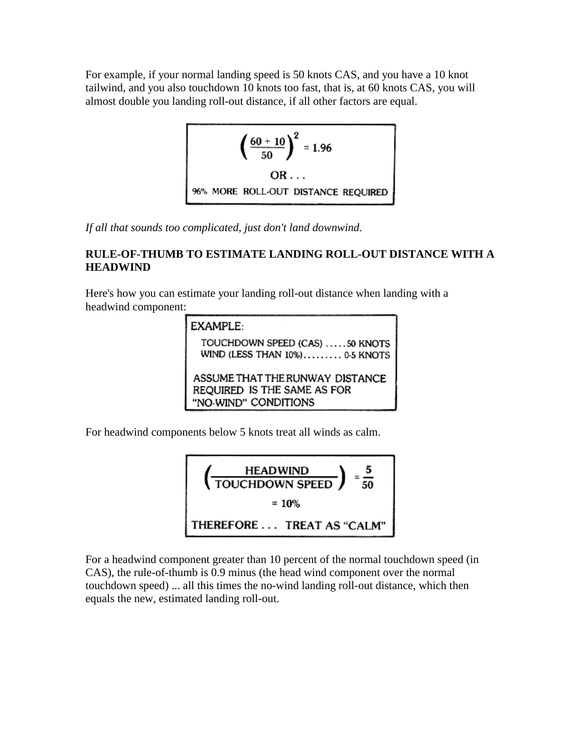For example, if your normal landing speed is 50 knots CAS, and you have a 10 knot tailwind, and you also touchdown 10 knots too fast, that is, at 60 knots CAS, you will almost double you landing roll-out distance, if all other factors are equal.

$$
\left(\frac{60+10}{50}\right)^2 = 1.96
$$
  
OR...  
96% MORE ROLL-OUT DISTANCE REQUIRED

*If all that sounds too complicated, just don't land downwind.*

#### **RULE-OF-THUMB TO ESTIMATE LANDING ROLL-OUT DISTANCE WITH A HEADWIND**

Here's how you can estimate your landing roll-out distance when landing with a headwind component:



For headwind components below 5 knots treat all winds as calm.



For a headwind component greater than 10 percent of the normal touchdown speed (in CAS), the rule-of-thumb is 0.9 minus (the head wind component over the normal touchdown speed) ... all this times the no-wind landing roll-out distance, which then equals the new, estimated landing roll-out.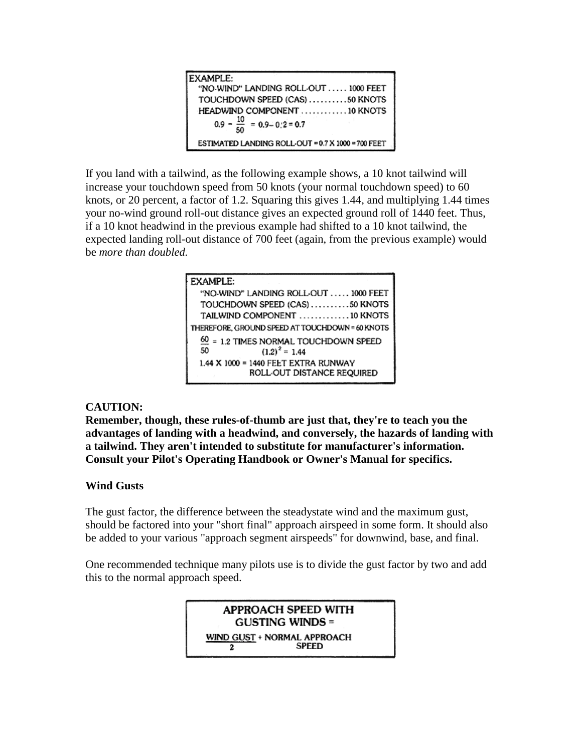| EXAMPLE:                                           |
|----------------------------------------------------|
| "NO-WIND" LANDING ROLL-OUT  1000 FEET              |
| TOUCHDOWN SPEED (CAS) 50 KNOTS                     |
| HEADWIND COMPONENT 10 KNOTS                        |
| $0.9 - \frac{10}{50} = 0.9 - 0.2 = 0.7$            |
| ESTIMATED LANDING ROLL-OUT = 0.7 X 1000 = 700 FEET |

If you land with a tailwind, as the following example shows, a 10 knot tailwind will increase your touchdown speed from 50 knots (your normal touchdown speed) to 60 knots, or 20 percent, a factor of 1.2. Squaring this gives 1.44, and multiplying 1.44 times your no-wind ground roll-out distance gives an expected ground roll of 1440 feet. Thus, if a 10 knot headwind in the previous example had shifted to a 10 knot tailwind, the expected landing roll-out distance of 700 feet (again, from the previous example) would be *more than doubled.*

| EXAMPLE:                                        |
|-------------------------------------------------|
| "NO-WIND" LANDING ROLL OUT  1000 FEET           |
| TOUCHDOWN SPEED (CAS) 50 KNOTS                  |
| TAILWIND COMPONENT 10 KNOTS                     |
| THEREFORE, GROUND SPEED AT TOUCHDOWN = 60 KNOTS |
| = 1.2 TIMES NORMAL TOUCHDOWN SPEED              |
| $(1.2)^2 = 1.44$<br>50                          |
| 1.44 X 1000 = 1440 FEET EXTRA RUNWAY            |
| ROLL-OUT DISTANCE REQUIRED                      |
|                                                 |

#### **CAUTION:**

**Remember, though, these rules-of-thumb are just that, they're to teach you the advantages of landing with a headwind, and conversely, the hazards of landing with a tailwind. They aren't intended to substitute for manufacturer's information. Consult your Pilot's Operating Handbook or Owner's Manual for specifics.**

#### **Wind Gusts**

The gust factor, the difference between the steadystate wind and the maximum gust, should be factored into your "short final" approach airspeed in some form. It should also be added to your various "approach segment airspeeds" for downwind, base, and final.

One recommended technique many pilots use is to divide the gust factor by two and add this to the normal approach speed.

> **APPROACH SPEED WITH GUSTING WINDS =** WIND GUST + NORMAL APPROACH SPEED  $\mathbf{2}$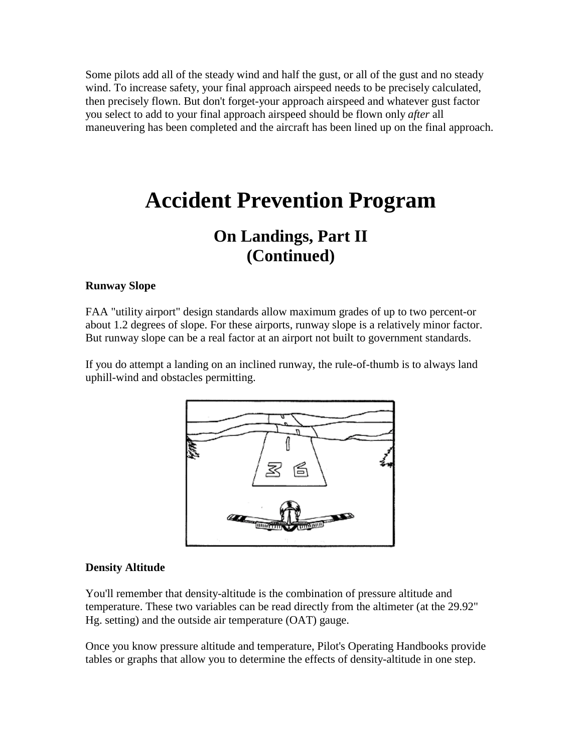Some pilots add all of the steady wind and half the gust, or all of the gust and no steady wind. To increase safety, your final approach airspeed needs to be precisely calculated, then precisely flown. But don't forget-your approach airspeed and whatever gust factor you select to add to your final approach airspeed should be flown only *after* all maneuvering has been completed and the aircraft has been lined up on the final approach.

## **Accident Prevention Program**

## **On Landings, Part II (Continued)**

#### **Runway Slope**

FAA "utility airport" design standards allow maximum grades of up to two percent-or about 1.2 degrees of slope. For these airports, runway slope is a relatively minor factor. But runway slope can be a real factor at an airport not built to government standards.

If you do attempt a landing on an inclined runway, the rule-of-thumb is to always land uphill-wind and obstacles permitting.



#### **Density Altitude**

You'll remember that density-altitude is the combination of pressure altitude and temperature. These two variables can be read directly from the altimeter (at the 29.92" Hg. setting) and the outside air temperature (OAT) gauge.

Once you know pressure altitude and temperature, Pilot's Operating Handbooks provide tables or graphs that allow you to determine the effects of density-altitude in one step.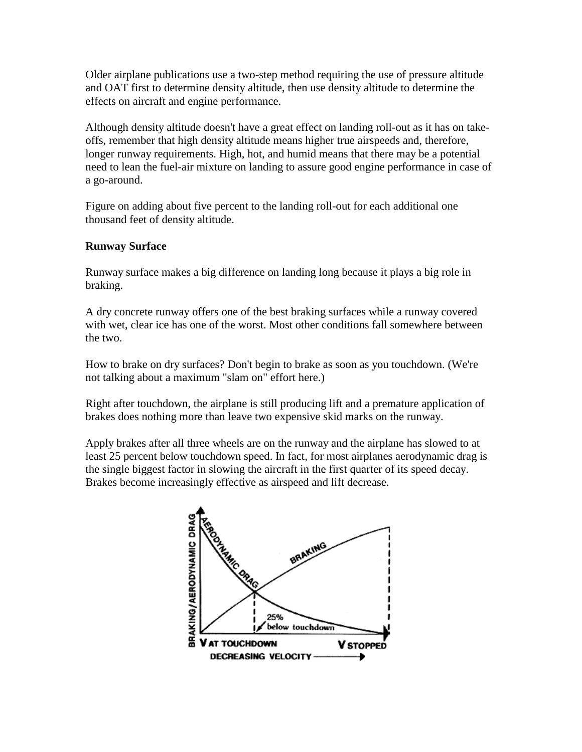Older airplane publications use a two-step method requiring the use of pressure altitude and OAT first to determine density altitude, then use density altitude to determine the effects on aircraft and engine performance.

Although density altitude doesn't have a great effect on landing roll-out as it has on takeoffs, remember that high density altitude means higher true airspeeds and, therefore, longer runway requirements. High, hot, and humid means that there may be a potential need to lean the fuel-air mixture on landing to assure good engine performance in case of a go-around.

Figure on adding about five percent to the landing roll-out for each additional one thousand feet of density altitude.

#### **Runway Surface**

Runway surface makes a big difference on landing long because it plays a big role in braking.

A dry concrete runway offers one of the best braking surfaces while a runway covered with wet, clear ice has one of the worst. Most other conditions fall somewhere between the two.

How to brake on dry surfaces? Don't begin to brake as soon as you touchdown. (We're not talking about a maximum "slam on" effort here.)

Right after touchdown, the airplane is still producing lift and a premature application of brakes does nothing more than leave two expensive skid marks on the runway.

Apply brakes after all three wheels are on the runway and the airplane has slowed to at least 25 percent below touchdown speed. In fact, for most airplanes aerodynamic drag is the single biggest factor in slowing the aircraft in the first quarter of its speed decay. Brakes become increasingly effective as airspeed and lift decrease.

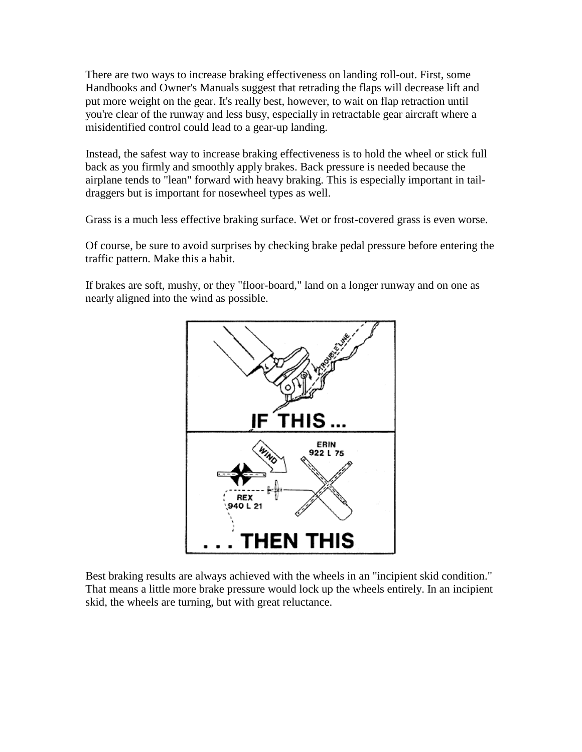There are two ways to increase braking effectiveness on landing roll-out. First, some Handbooks and Owner's Manuals suggest that retrading the flaps will decrease lift and put more weight on the gear. It's really best, however, to wait on flap retraction until you're clear of the runway and less busy, especially in retractable gear aircraft where a misidentified control could lead to a gear-up landing.

Instead, the safest way to increase braking effectiveness is to hold the wheel or stick full back as you firmly and smoothly apply brakes. Back pressure is needed because the airplane tends to "lean" forward with heavy braking. This is especially important in taildraggers but is important for nosewheel types as well.

Grass is a much less effective braking surface. Wet or frost-covered grass is even worse.

Of course, be sure to avoid surprises by checking brake pedal pressure before entering the traffic pattern. Make this a habit.

If brakes are soft, mushy, or they "floor-board," land on a longer runway and on one as nearly aligned into the wind as possible.



Best braking results are always achieved with the wheels in an "incipient skid condition." That means a little more brake pressure would lock up the wheels entirely. In an incipient skid, the wheels are turning, but with great reluctance.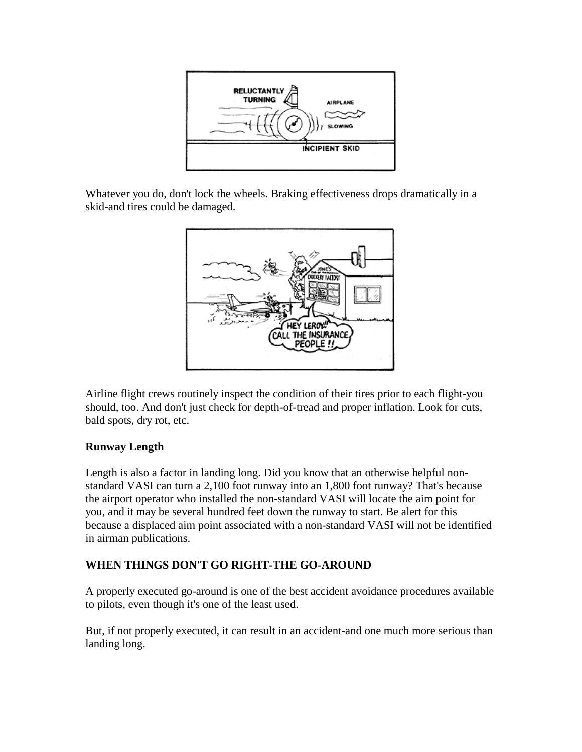

Whatever you do, don't lock the wheels. Braking effectiveness drops dramatically in a skid-and tires could be damaged.



Airline flight crews routinely inspect the condition of their tires prior to each flight-you should, too. And don't just check for depth-of-tread and proper inflation. Look for cuts, bald spots, dry rot, etc.

#### **Runway Length**

Length is also a factor in landing long. Did you know that an otherwise helpful nonstandard VASI can turn a 2,100 foot runway into an 1,800 foot runway? That's because the airport operator who installed the non-standard VASI will locate the aim point for you, and it may be several hundred feet down the runway to start. Be alert for this because a displaced aim point associated with a non-standard VASI will not be identified in airman publications.

#### **WHEN THINGS DON'T GO RIGHT-THE GO-AROUND**

A properly executed go-around is one of the best accident avoidance procedures available to pilots, even though it's one of the least used.

But, if not properly executed, it can result in an accident-and one much more serious than landing long.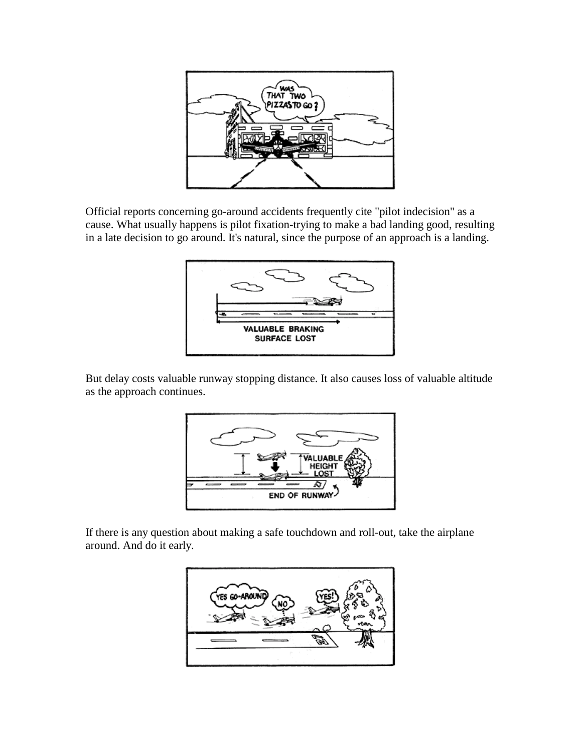

Official reports concerning go-around accidents frequently cite "pilot indecision" as a cause. What usually happens is pilot fixation-trying to make a bad landing good, resulting in a late decision to go around. It's natural, since the purpose of an approach is a landing.



But delay costs valuable runway stopping distance. It also causes loss of valuable altitude as the approach continues.



If there is any question about making a safe touchdown and roll-out, take the airplane around. And do it early.

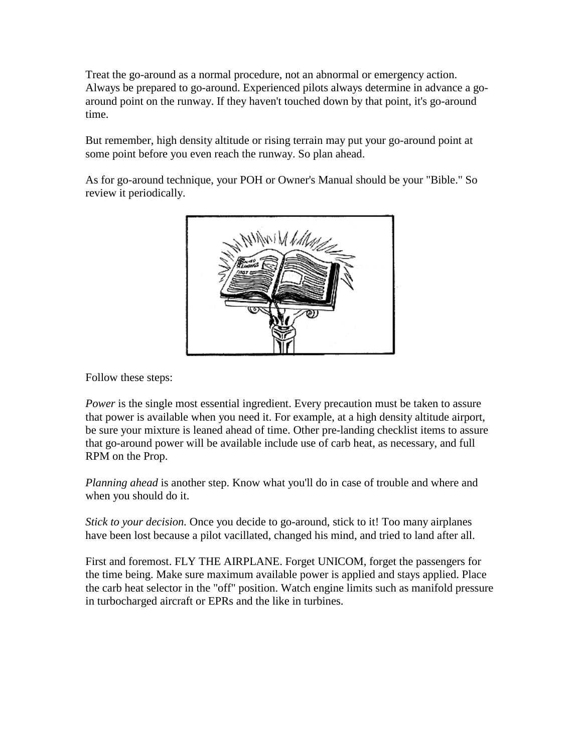Treat the go-around as a normal procedure, not an abnormal or emergency action. Always be prepared to go-around. Experienced pilots always determine in advance a goaround point on the runway. If they haven't touched down by that point, it's go-around time.

But remember, high density altitude or rising terrain may put your go-around point at some point before you even reach the runway. So plan ahead.

As for go-around technique, your POH or Owner's Manual should be your "Bible." So review it periodically.



Follow these steps:

*Power* is the single most essential ingredient. Every precaution must be taken to assure that power is available when you need it. For example, at a high density altitude airport, be sure your mixture is leaned ahead of time. Other pre-landing checklist items to assure that go-around power will be available include use of carb heat, as necessary, and full RPM on the Prop.

*Planning ahead* is another step. Know what you'll do in case of trouble and where and when you should do it.

*Stick to your decision.* Once you decide to go-around, stick to it! Too many airplanes have been lost because a pilot vacillated, changed his mind, and tried to land after all.

First and foremost. FLY THE AIRPLANE. Forget UNICOM, forget the passengers for the time being. Make sure maximum available power is applied and stays applied. Place the carb heat selector in the "off" position. Watch engine limits such as manifold pressure in turbocharged aircraft or EPRs and the like in turbines.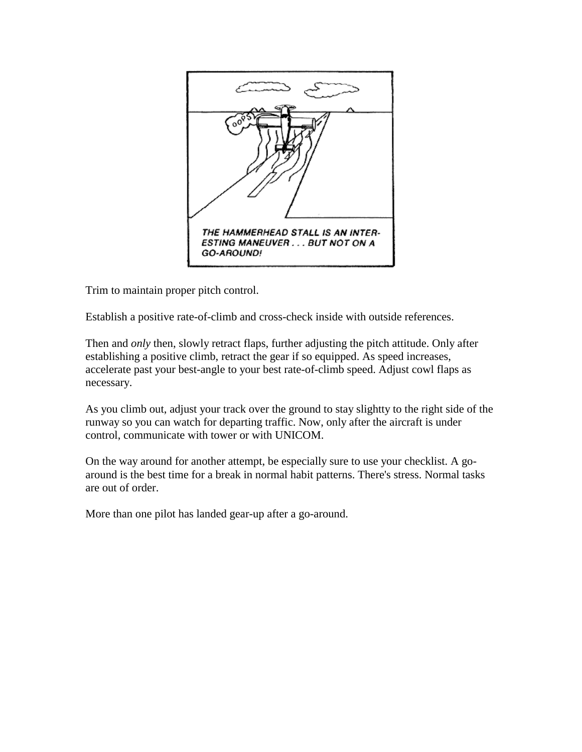

Trim to maintain proper pitch control.

Establish a positive rate-of-climb and cross-check inside with outside references.

Then and *only* then, slowly retract flaps, further adjusting the pitch attitude. Only after establishing a positive climb, retract the gear if so equipped. As speed increases, accelerate past your best-angle to your best rate-of-climb speed. Adjust cowl flaps as necessary.

As you climb out, adjust your track over the ground to stay slightty to the right side of the runway so you can watch for departing traffic. Now, only after the aircraft is under control, communicate with tower or with UNICOM.

On the way around for another attempt, be especially sure to use your checklist. A goaround is the best time for a break in normal habit patterns. There's stress. Normal tasks are out of order.

More than one pilot has landed gear-up after a go-around.